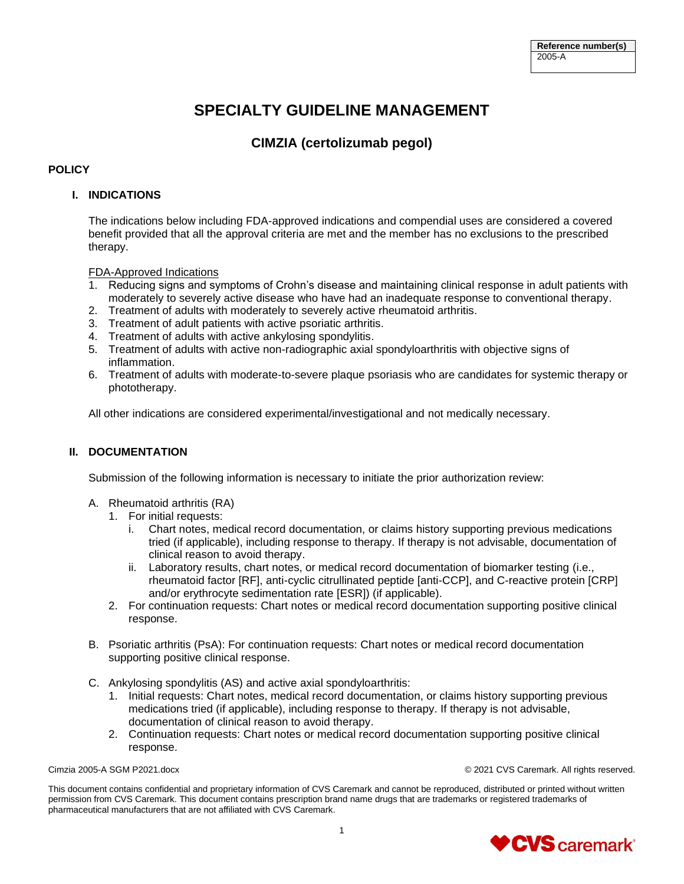# **SPECIALTY GUIDELINE MANAGEMENT**

# **CIMZIA (certolizumab pegol)**

# **POLICY**

# **I. INDICATIONS**

The indications below including FDA-approved indications and compendial uses are considered a covered benefit provided that all the approval criteria are met and the member has no exclusions to the prescribed therapy.

FDA-Approved Indications

- 1. Reducing signs and symptoms of Crohn's disease and maintaining clinical response in adult patients with moderately to severely active disease who have had an inadequate response to conventional therapy.
- 2. Treatment of adults with moderately to severely active rheumatoid arthritis.
- 3. Treatment of adult patients with active psoriatic arthritis.
- 4. Treatment of adults with active ankylosing spondylitis.
- 5. Treatment of adults with active non-radiographic axial spondyloarthritis with objective signs of inflammation.
- 6. Treatment of adults with moderate-to-severe plaque psoriasis who are candidates for systemic therapy or phototherapy.

All other indications are considered experimental/investigational and not medically necessary.

# **II. DOCUMENTATION**

Submission of the following information is necessary to initiate the prior authorization review:

- A. Rheumatoid arthritis (RA)
	- 1. For initial requests:
		- i. Chart notes, medical record documentation, or claims history supporting previous medications tried (if applicable), including response to therapy. If therapy is not advisable, documentation of clinical reason to avoid therapy.
		- ii. Laboratory results, chart notes, or medical record documentation of biomarker testing (i.e., rheumatoid factor [RF], anti-cyclic citrullinated peptide [anti-CCP], and C-reactive protein [CRP] and/or erythrocyte sedimentation rate [ESR]) (if applicable).
	- 2. For continuation requests: Chart notes or medical record documentation supporting positive clinical response.
- B. Psoriatic arthritis (PsA): For continuation requests: Chart notes or medical record documentation supporting positive clinical response.
- C. Ankylosing spondylitis (AS) and active axial spondyloarthritis:
	- 1. Initial requests: Chart notes, medical record documentation, or claims history supporting previous medications tried (if applicable), including response to therapy. If therapy is not advisable, documentation of clinical reason to avoid therapy.
	- 2. Continuation requests: Chart notes or medical record documentation supporting positive clinical response.

Cimzia 2005-A SGM P2021.docx © 2021 CVS Caremark. All rights reserved.

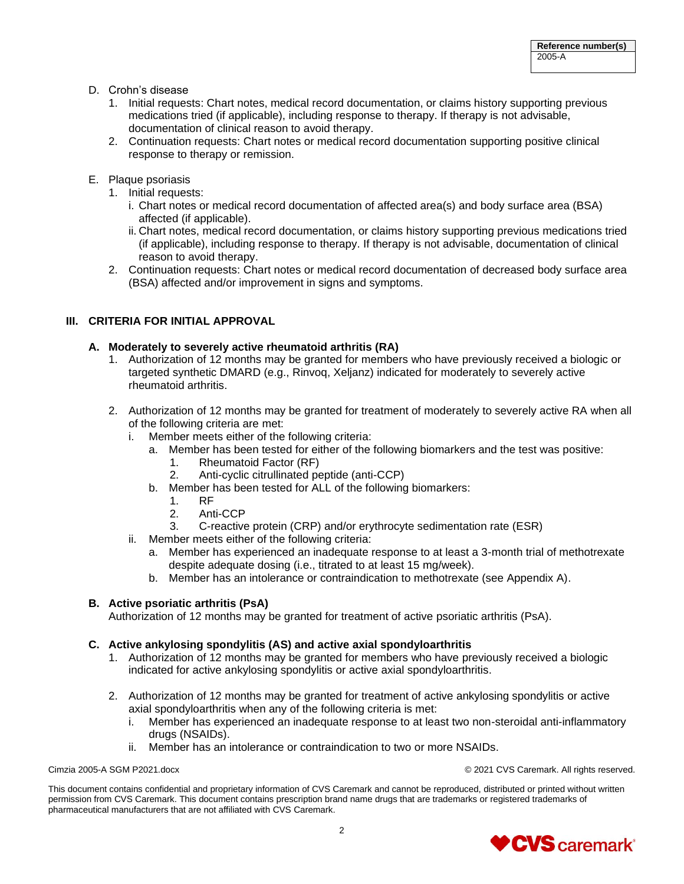- D. Crohn's disease
	- 1. Initial requests: Chart notes, medical record documentation, or claims history supporting previous medications tried (if applicable), including response to therapy. If therapy is not advisable, documentation of clinical reason to avoid therapy.
	- 2. Continuation requests: Chart notes or medical record documentation supporting positive clinical response to therapy or remission.
- E. Plaque psoriasis
	- 1. Initial requests:
		- i. Chart notes or medical record documentation of affected area(s) and body surface area (BSA) affected (if applicable).
		- ii. Chart notes, medical record documentation, or claims history supporting previous medications tried (if applicable), including response to therapy. If therapy is not advisable, documentation of clinical reason to avoid therapy.
	- 2. Continuation requests: Chart notes or medical record documentation of decreased body surface area (BSA) affected and/or improvement in signs and symptoms.

# **III. CRITERIA FOR INITIAL APPROVAL**

# **A. Moderately to severely active rheumatoid arthritis (RA)**

- 1. Authorization of 12 months may be granted for members who have previously received a biologic or targeted synthetic DMARD (e.g., Rinvoq, Xeljanz) indicated for moderately to severely active rheumatoid arthritis.
- 2. Authorization of 12 months may be granted for treatment of moderately to severely active RA when all of the following criteria are met:
	- i. Member meets either of the following criteria:
		- a. Member has been tested for either of the following biomarkers and the test was positive:
			- 1. Rheumatoid Factor (RF)
			- 2. Anti-cyclic citrullinated peptide (anti-CCP)
		- b. Member has been tested for ALL of the following biomarkers:
			- 1. RF
			- 2. Anti-CCP
			- 3. C-reactive protein (CRP) and/or erythrocyte sedimentation rate (ESR)
	- ii. Member meets either of the following criteria:
		- a. Member has experienced an inadequate response to at least a 3-month trial of methotrexate despite adequate dosing (i.e., titrated to at least 15 mg/week).
		- b. Member has an intolerance or contraindication to methotrexate (see Appendix A).

# **B. Active psoriatic arthritis (PsA)**

Authorization of 12 months may be granted for treatment of active psoriatic arthritis (PsA).

# **C. Active ankylosing spondylitis (AS) and active axial spondyloarthritis**

- 1. Authorization of 12 months may be granted for members who have previously received a biologic indicated for active ankylosing spondylitis or active axial spondyloarthritis.
- 2. Authorization of 12 months may be granted for treatment of active ankylosing spondylitis or active axial spondyloarthritis when any of the following criteria is met:
	- i. Member has experienced an inadequate response to at least two non-steroidal anti-inflammatory drugs (NSAIDs).
	- ii. Member has an intolerance or contraindication to two or more NSAIDs.

Cimzia 2005-A SGM P2021.docx © 2021 CVS Caremark. All rights reserved.

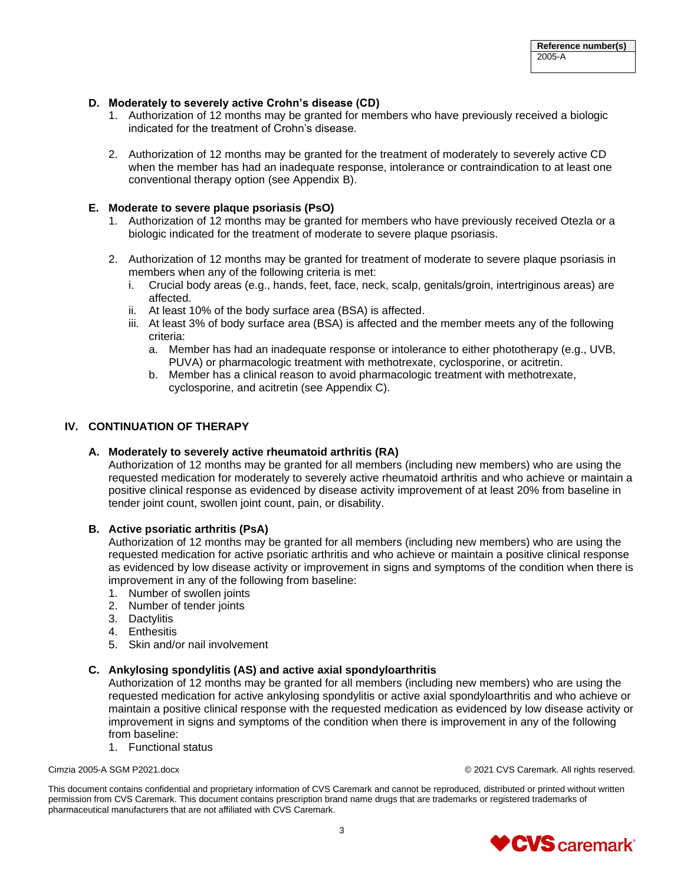### **D. Moderately to severely active Crohn's disease (CD)**

- 1. Authorization of 12 months may be granted for members who have previously received a biologic indicated for the treatment of Crohn's disease.
- 2. Authorization of 12 months may be granted for the treatment of moderately to severely active CD when the member has had an inadequate response, intolerance or contraindication to at least one conventional therapy option (see Appendix B).

### **E. Moderate to severe plaque psoriasis (PsO)**

- 1. Authorization of 12 months may be granted for members who have previously received Otezla or a biologic indicated for the treatment of moderate to severe plaque psoriasis.
- 2. Authorization of 12 months may be granted for treatment of moderate to severe plaque psoriasis in members when any of the following criteria is met:
	- i. Crucial body areas (e.g., hands, feet, face, neck, scalp, genitals/groin, intertriginous areas) are affected.
	- ii. At least 10% of the body surface area (BSA) is affected.
	- iii. At least 3% of body surface area (BSA) is affected and the member meets any of the following criteria:
		- a. Member has had an inadequate response or intolerance to either phototherapy (e.g., UVB, PUVA) or pharmacologic treatment with methotrexate, cyclosporine, or acitretin.
		- b. Member has a clinical reason to avoid pharmacologic treatment with methotrexate, cyclosporine, and acitretin (see Appendix C).

# **IV. CONTINUATION OF THERAPY**

#### **A. Moderately to severely active rheumatoid arthritis (RA)**

Authorization of 12 months may be granted for all members (including new members) who are using the requested medication for moderately to severely active rheumatoid arthritis and who achieve or maintain a positive clinical response as evidenced by disease activity improvement of at least 20% from baseline in tender joint count, swollen joint count, pain, or disability.

### **B. Active psoriatic arthritis (PsA)**

Authorization of 12 months may be granted for all members (including new members) who are using the requested medication for active psoriatic arthritis and who achieve or maintain a positive clinical response as evidenced by low disease activity or improvement in signs and symptoms of the condition when there is improvement in any of the following from baseline:

- 1. Number of swollen joints
- 2. Number of tender joints
- 3. Dactylitis
- 4. Enthesitis
- 5. Skin and/or nail involvement

### **C. Ankylosing spondylitis (AS) and active axial spondyloarthritis**

Authorization of 12 months may be granted for all members (including new members) who are using the requested medication for active ankylosing spondylitis or active axial spondyloarthritis and who achieve or maintain a positive clinical response with the requested medication as evidenced by low disease activity or improvement in signs and symptoms of the condition when there is improvement in any of the following from baseline:

1. Functional status

Cimzia 2005-A SGM P2021.docx © 2021 CVS Caremark. All rights reserved.

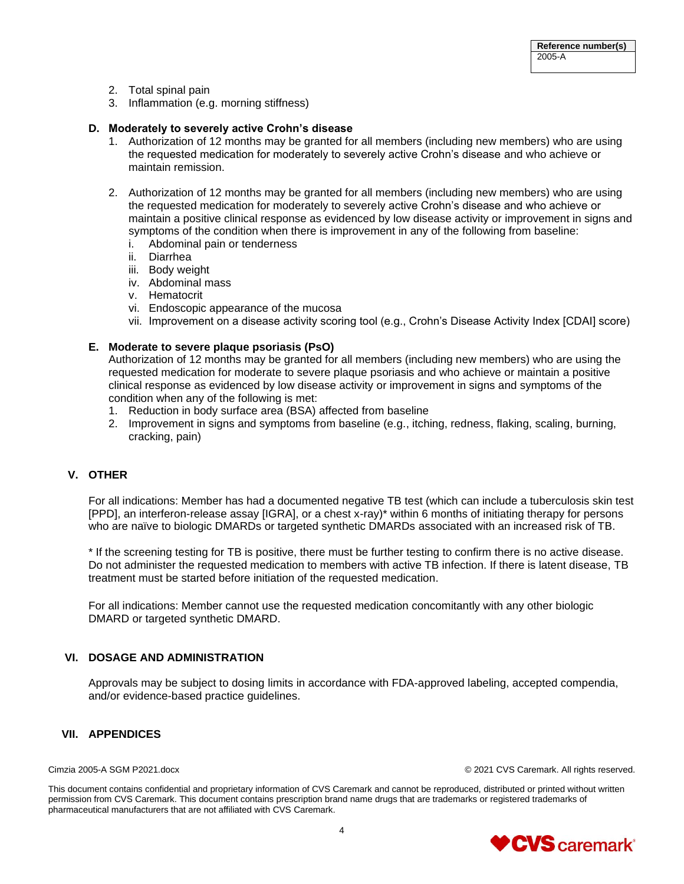- 2. Total spinal pain
- 3. Inflammation (e.g. morning stiffness)

### **D. Moderately to severely active Crohn's disease**

- 1. Authorization of 12 months may be granted for all members (including new members) who are using the requested medication for moderately to severely active Crohn's disease and who achieve or maintain remission.
- 2. Authorization of 12 months may be granted for all members (including new members) who are using the requested medication for moderately to severely active Crohn's disease and who achieve or maintain a positive clinical response as evidenced by low disease activity or improvement in signs and symptoms of the condition when there is improvement in any of the following from baseline:
	- i. Abdominal pain or tenderness
	- ii. Diarrhea
	- iii. Body weight
	- iv. Abdominal mass
	- v. Hematocrit
	- vi. Endoscopic appearance of the mucosa
	- vii. Improvement on a disease activity scoring tool (e.g., Crohn's Disease Activity Index [CDAI] score)

### **E. Moderate to severe plaque psoriasis (PsO)**

Authorization of 12 months may be granted for all members (including new members) who are using the requested medication for moderate to severe plaque psoriasis and who achieve or maintain a positive clinical response as evidenced by low disease activity or improvement in signs and symptoms of the condition when any of the following is met:

- 1. Reduction in body surface area (BSA) affected from baseline
- 2. Improvement in signs and symptoms from baseline (e.g., itching, redness, flaking, scaling, burning, cracking, pain)

# **V. OTHER**

For all indications: Member has had a documented negative TB test (which can include a tuberculosis skin test [PPD], an interferon-release assay [IGRA], or a chest x-ray)\* within 6 months of initiating therapy for persons who are naïve to biologic DMARDs or targeted synthetic DMARDs associated with an increased risk of TB.

\* If the screening testing for TB is positive, there must be further testing to confirm there is no active disease. Do not administer the requested medication to members with active TB infection. If there is latent disease, TB treatment must be started before initiation of the requested medication.

For all indications: Member cannot use the requested medication concomitantly with any other biologic DMARD or targeted synthetic DMARD.

# **VI. DOSAGE AND ADMINISTRATION**

Approvals may be subject to dosing limits in accordance with FDA-approved labeling, accepted compendia, and/or evidence-based practice guidelines.

#### **VII. APPENDICES**

Cimzia 2005-A SGM P2021.docx © 2021 CVS Caremark. All rights reserved.

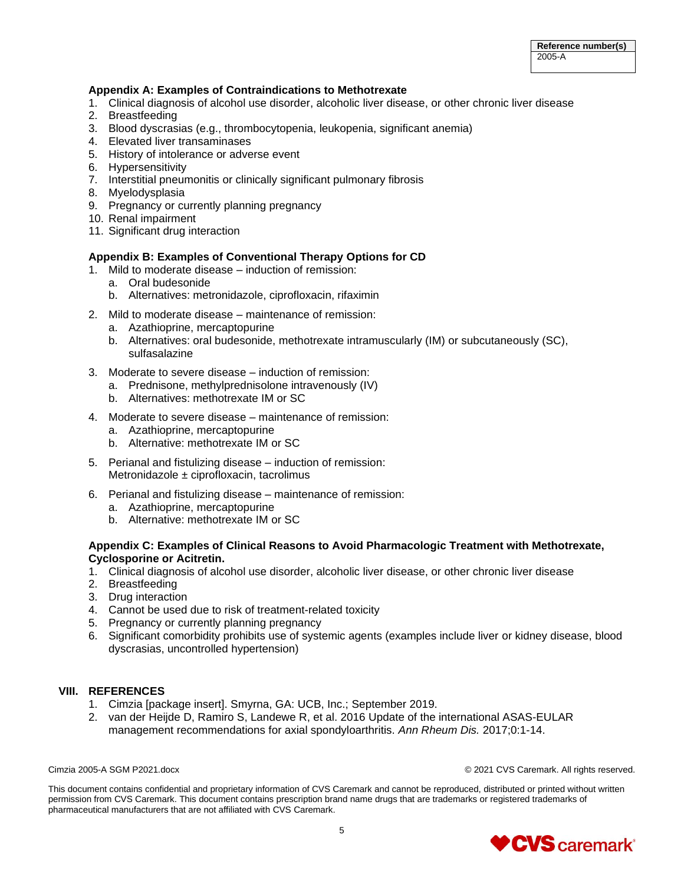# **Appendix A: Examples of Contraindications to Methotrexate**

- 1. Clinical diagnosis of alcohol use disorder, alcoholic liver disease, or other chronic liver disease
- 2. Breastfeeding
- 3. Blood dyscrasias (e.g., thrombocytopenia, leukopenia, significant anemia)
- 4. Elevated liver transaminases
- 5. History of intolerance or adverse event
- 6. Hypersensitivity
- 7. Interstitial pneumonitis or clinically significant pulmonary fibrosis
- 8. Myelodysplasia
- 9. Pregnancy or currently planning pregnancy
- 10. Renal impairment
- 11. Significant drug interaction

### **Appendix B: Examples of Conventional Therapy Options for CD**

- 1. Mild to moderate disease induction of remission:
	- a. Oral budesonide
	- b. Alternatives: metronidazole, ciprofloxacin, rifaximin
- 2. Mild to moderate disease maintenance of remission:
	- a. Azathioprine, mercaptopurine
	- b. Alternatives: oral budesonide, methotrexate intramuscularly (IM) or subcutaneously (SC), sulfasalazine
- 3. Moderate to severe disease induction of remission:
	- a. Prednisone, methylprednisolone intravenously (IV)
	- b. Alternatives: methotrexate IM or SC
- 4. Moderate to severe disease maintenance of remission:
	- a. Azathioprine, mercaptopurine
	- b. Alternative: methotrexate IM or SC
- 5. Perianal and fistulizing disease induction of remission: Metronidazole ± ciprofloxacin, tacrolimus
- 6. Perianal and fistulizing disease maintenance of remission:
	- a. Azathioprine, mercaptopurine
	- b. Alternative: methotrexate IM or SC

# **Appendix C: Examples of Clinical Reasons to Avoid Pharmacologic Treatment with Methotrexate, Cyclosporine or Acitretin.**

- 1. Clinical diagnosis of alcohol use disorder, alcoholic liver disease, or other chronic liver disease
- 2. Breastfeeding
- 3. Drug interaction
- 4. Cannot be used due to risk of treatment-related toxicity
- 5. Pregnancy or currently planning pregnancy
- 6. Significant comorbidity prohibits use of systemic agents (examples include liver or kidney disease, blood dyscrasias, uncontrolled hypertension)

# **VIII. REFERENCES**

- 1. Cimzia [package insert]. Smyrna, GA: UCB, Inc.; September 2019.
- 2. van der Heijde D, Ramiro S, Landewe R, et al. 2016 Update of the international ASAS-EULAR management recommendations for axial spondyloarthritis. *Ann Rheum Dis.* 2017;0:1-14.

Cimzia 2005-A SGM P2021.docx © 2021 CVS Caremark. All rights reserved.

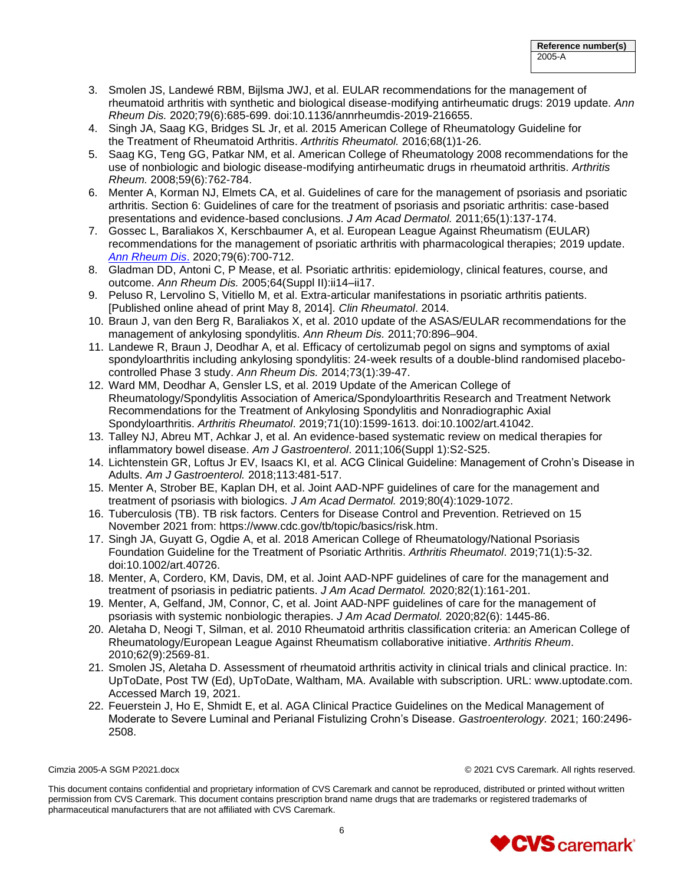- 3. Smolen JS, Landewé RBM, Bijlsma JWJ, et al. EULAR recommendations for the management of rheumatoid arthritis with synthetic and biological disease-modifying antirheumatic drugs: 2019 update. *Ann Rheum Dis.* 2020;79(6):685-699. doi:10.1136/annrheumdis-2019-216655.
- 4. [Singh JA,](http://www.ncbi.nlm.nih.gov/pubmed/?term=Singh%20JA%5BAuthor%5D&cauthor=true&cauthor_uid=26545940) [Saag KG,](http://www.ncbi.nlm.nih.gov/pubmed/?term=Saag%20KG%5BAuthor%5D&cauthor=true&cauthor_uid=26545940) [Bridges SL Jr,](http://www.ncbi.nlm.nih.gov/pubmed/?term=Bridges%20SL%20Jr%5BAuthor%5D&cauthor=true&cauthor_uid=26545940) et al. 2015 American College of Rheumatology Guideline for the Treatment of Rheumatoid Arthritis. *Arthritis [Rheumatol.](http://www.ncbi.nlm.nih.gov/pubmed/26545940)* 2016;68(1)1-26.
- 5. Saag KG, Teng GG, Patkar NM, et al. American College of Rheumatology 2008 recommendations for the use of nonbiologic and biologic disease-modifying antirheumatic drugs in rheumatoid arthritis. *Arthritis Rheum.* 2008;59(6):762-784.
- 6. Menter A, Korman NJ, Elmets CA, et al. Guidelines of care for the management of psoriasis and psoriatic arthritis. Section 6: Guidelines of care for the treatment of psoriasis and psoriatic arthritis: case-based presentations and evidence-based conclusions. *J Am Acad Dermatol.* 2011;65(1):137-174.
- 7. Gossec L, Baraliakos X, Kerschbaumer A, et al. European League Against Rheumatism (EULAR) recommendations for the management of psoriatic arthritis with pharmacological therapies; 2019 update. *[Ann Rheum Dis](http://www.ncbi.nlm.nih.gov/pubmed/?term=European+League+Against+Rheumatism+(EULAR)+recommendations+for+the+management+of+psoriatic+arthritis+with+pharmacological+therapies%3A+2015+update)*. 2020;79(6):700-712.
- 8. Gladman DD, Antoni C, P Mease, et al. Psoriatic arthritis: epidemiology, clinical features, course, and outcome. *Ann Rheum Dis.* 2005;64(Suppl II):ii14–ii17.
- 9. Peluso R, Lervolino S, Vitiello M, et al. Extra-articular manifestations in psoriatic arthritis patients. [Published online ahead of print May 8, 2014]. *Clin Rheumatol*. 2014.
- 10. Braun J, van den Berg R, Baraliakos X, et al. 2010 update of the ASAS/EULAR recommendations for the management of ankylosing spondylitis. *Ann Rheum Dis.* 2011;70:896–904.
- 11. Landewe R, Braun J, Deodhar A, et al. Efficacy of certolizumab pegol on signs and symptoms of axial spondyloarthritis including ankylosing spondylitis: 24-week results of a double-blind randomised placebocontrolled Phase 3 study. *Ann Rheum Dis.* 2014;73(1):39-47.
- 12. Ward MM, Deodhar A, Gensler LS, et al. 2019 Update of the American College of Rheumatology/Spondylitis Association of America/Spondyloarthritis Research and Treatment Network Recommendations for the Treatment of Ankylosing Spondylitis and Nonradiographic Axial Spondyloarthritis. *Arthritis Rheumatol*. 2019;71(10):1599-1613. doi:10.1002/art.41042.
- 13. Talley NJ, Abreu MT, Achkar J, et al. An evidence-based systematic review on medical therapies for inflammatory bowel disease. *Am J Gastroenterol*. 2011;106(Suppl 1):S2-S25.
- 14. Lichtenstein GR, Loftus Jr EV, Isaacs KI, et al. ACG Clinical Guideline: Management of Crohn's Disease in Adults. *Am J Gastroenterol.* 2018;113:481-517.
- 15. Menter A, Strober BE, Kaplan DH, et al. Joint AAD-NPF guidelines of care for the management and treatment of psoriasis with biologics. *J Am Acad Dermatol.* 2019;80(4):1029-1072.
- 16. Tuberculosis (TB). TB risk factors. Centers for Disease Control and Prevention. Retrieved on 15 November 2021 from: [https://www.cdc.gov/tb/topic/basics/risk.htm.](https://www.cdc.gov/tb/topic/basics/risk.htm)
- 17. Singh JA, Guyatt G, Ogdie A, et al. 2018 American College of Rheumatology/National Psoriasis Foundation Guideline for the Treatment of Psoriatic Arthritis. *Arthritis Rheumatol*. 2019;71(1):5-32. doi:10.1002/art.40726.
- 18. Menter, A, Cordero, KM, Davis, DM, et al. Joint AAD-NPF guidelines of care for the management and treatment of psoriasis in pediatric patients. *J Am Acad Dermatol.* 2020;82(1):161-201.
- 19. Menter, A, Gelfand, JM, Connor, C, et al. Joint AAD-NPF guidelines of care for the management of psoriasis with systemic nonbiologic therapies. *J Am Acad Dermatol.* 2020;82(6): 1445-86.
- 20. Aletaha D, Neogi T, Silman, et al. 2010 Rheumatoid arthritis classification criteria: an American College of Rheumatology/European League Against Rheumatism collaborative initiative. *Arthritis Rheum*. 2010;62(9):2569-81.
- 21. Smolen JS, Aletaha D. Assessment of rheumatoid arthritis activity in clinical trials and clinical practice. In: UpToDate, Post TW (Ed), UpToDate, Waltham, MA. Available with subscription. URL: www.uptodate.com. Accessed March 19, 2021.
- 22. Feuerstein J, Ho E, Shmidt E, et al. AGA Clinical Practice Guidelines on the Medical Management of Moderate to Severe Luminal and Perianal Fistulizing Crohn's Disease. *Gastroenterology.* 2021; 160:2496- 2508.

Cimzia 2005-A SGM P2021.docx © 2021 CVS Caremark. All rights reserved.